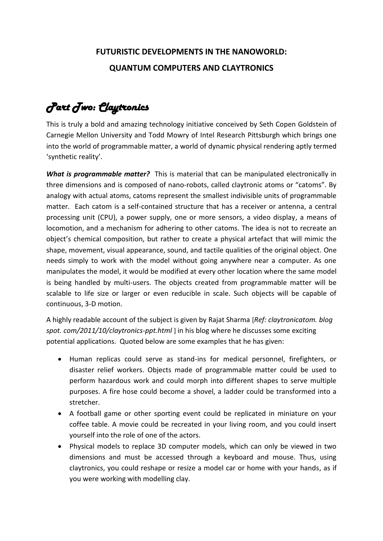## **FUTURISTIC DEVELOPMENTS IN THE NANOWORLD: QUANTUM COMPUTERS AND CLAYTRONICS**

## *Part Two: Claytronics*

This is truly a bold and amazing technology initiative conceived by Seth Copen Goldstein of Carnegie Mellon University and Todd Mowry of Intel Research Pittsburgh which brings one into the world of programmable matter, a world of dynamic physical rendering aptly termed 'synthetic reality'.

*What is programmable matter?* This is material that can be manipulated electronically in three dimensions and is composed of nano-robots, called claytronic atoms or "catoms". By analogy with actual atoms, catoms represent the smallest indivisible units of programmable matter. Each catom is a self-contained structure that has a receiver or antenna, a central processing unit (CPU), a power supply, one or more sensors, a video display, a means of locomotion, and a mechanism for adhering to other catoms. The idea is not to recreate an object's chemical composition, but rather to create a physical artefact that will mimic the shape, movement, visual appearance, sound, and tactile qualities of the original object. One needs simply to work with the model without going anywhere near a computer. As one manipulates the model, it would be modified at every other location where the same model is being handled by multi-users. The objects created from programmable matter will be scalable to life size or larger or even reducible in scale. Such objects will be capable of continuous, 3-D motion.

A highly readable account of the subject is given by Rajat Sharma [*Ref: claytronicatom. blog spot. com/2011/10/claytronics-ppt.html* ] in his blog where he discusses some exciting potential applications. Quoted below are some examples that he has given:

- Human replicas could serve as stand-ins for medical personnel, firefighters, or disaster relief workers. Objects made of programmable matter could be used to perform hazardous work and could morph into different shapes to serve multiple purposes. A fire hose could become a shovel, a ladder could be transformed into a stretcher.
- A football game or other sporting event could be replicated in miniature on your coffee table. A movie could be recreated in your living room, and you could insert yourself into the role of one of the actors.
- Physical models to replace 3D computer models, which can only be viewed in two dimensions and must be accessed through a keyboard and mouse. Thus, using claytronics, you could reshape or resize a model car or home with your hands, as if you were working with modelling clay.